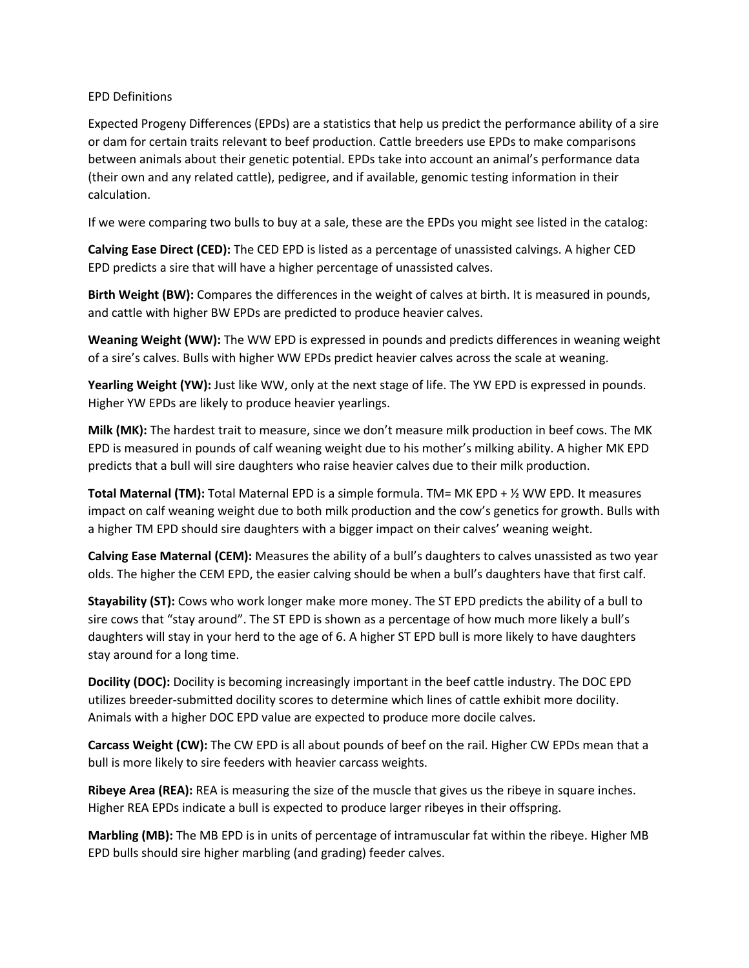## EPD Definitions

Expected Progeny Differences (EPDs) are a statistics that help us predict the performance ability of a sire or dam for certain traits relevant to beef production. Cattle breeders use EPDs to make comparisons between animals about their genetic potential. EPDs take into account an animal's performance data (their own and any related cattle), pedigree, and if available, genomic testing information in their calculation.

If we were comparing two bulls to buy at a sale, these are the EPDs you might see listed in the catalog:

**Calving Ease Direct (CED):** The CED EPD is listed as a percentage of unassisted calvings. A higher CED EPD predicts a sire that will have a higher percentage of unassisted calves.

**Birth Weight (BW):** Compares the differences in the weight of calves at birth. It is measured in pounds, and cattle with higher BW EPDs are predicted to produce heavier calves.

**Weaning Weight (WW):** The WW EPD is expressed in pounds and predicts differences in weaning weight of a sire's calves. Bulls with higher WW EPDs predict heavier calves across the scale at weaning.

**Yearling Weight (YW):** Just like WW, only at the next stage of life. The YW EPD is expressed in pounds. Higher YW EPDs are likely to produce heavier yearlings.

**Milk (MK):** The hardest trait to measure, since we don't measure milk production in beef cows. The MK EPD is measured in pounds of calf weaning weight due to his mother's milking ability. A higher MK EPD predicts that a bull will sire daughters who raise heavier calves due to their milk production.

**Total Maternal (TM):** Total Maternal EPD is a simple formula. TM= MK EPD + ½ WW EPD. It measures impact on calf weaning weight due to both milk production and the cow's genetics for growth. Bulls with a higher TM EPD should sire daughters with a bigger impact on their calves' weaning weight.

**Calving Ease Maternal (CEM):** Measures the ability of a bull's daughters to calves unassisted as two year olds. The higher the CEM EPD, the easier calving should be when a bull's daughters have that first calf.

**Stayability (ST):** Cows who work longer make more money. The ST EPD predicts the ability of a bull to sire cows that "stay around". The ST EPD is shown as a percentage of how much more likely a bull's daughters will stay in your herd to the age of 6. A higher ST EPD bull is more likely to have daughters stay around for a long time.

**Docility (DOC):** Docility is becoming increasingly important in the beef cattle industry. The DOC EPD utilizes breeder-submitted docility scores to determine which lines of cattle exhibit more docility. Animals with a higher DOC EPD value are expected to produce more docile calves.

**Carcass Weight (CW):** The CW EPD is all about pounds of beef on the rail. Higher CW EPDs mean that a bull is more likely to sire feeders with heavier carcass weights.

**Ribeye Area (REA):** REA is measuring the size of the muscle that gives us the ribeye in square inches. Higher REA EPDs indicate a bull is expected to produce larger ribeyes in their offspring.

**Marbling (MB):** The MB EPD is in units of percentage of intramuscular fat within the ribeye. Higher MB EPD bulls should sire higher marbling (and grading) feeder calves.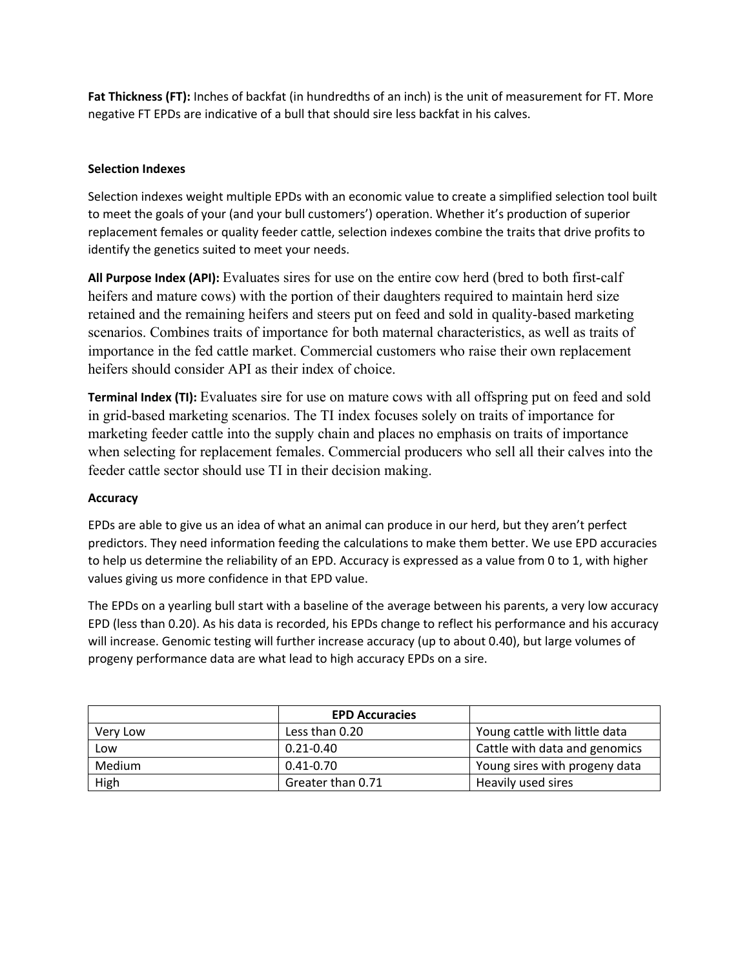**Fat Thickness (FT):** Inches of backfat (in hundredths of an inch) is the unit of measurement for FT. More negative FT EPDs are indicative of a bull that should sire less backfat in his calves.

## **Selection Indexes**

Selection indexes weight multiple EPDs with an economic value to create a simplified selection tool built to meet the goals of your (and your bull customers') operation. Whether it's production of superior replacement females or quality feeder cattle, selection indexes combine the traits that drive profits to identify the genetics suited to meet your needs.

**All Purpose Index (API):** Evaluates sires for use on the entire cow herd (bred to both first-calf heifers and mature cows) with the portion of their daughters required to maintain herd size retained and the remaining heifers and steers put on feed and sold in quality-based marketing scenarios. Combines traits of importance for both maternal characteristics, as well as traits of importance in the fed cattle market. Commercial customers who raise their own replacement heifers should consider API as their index of choice.

**Terminal Index (TI):** Evaluates sire for use on mature cows with all offspring put on feed and sold in grid-based marketing scenarios. The TI index focuses solely on traits of importance for marketing feeder cattle into the supply chain and places no emphasis on traits of importance when selecting for replacement females. Commercial producers who sell all their calves into the feeder cattle sector should use TI in their decision making.

## **Accuracy**

EPDs are able to give us an idea of what an animal can produce in our herd, but they aren't perfect predictors. They need information feeding the calculations to make them better. We use EPD accuracies to help us determine the reliability of an EPD. Accuracy is expressed as a value from 0 to 1, with higher values giving us more confidence in that EPD value.

The EPDs on a yearling bull start with a baseline of the average between his parents, a very low accuracy EPD (less than 0.20). As his data is recorded, his EPDs change to reflect his performance and his accuracy will increase. Genomic testing will further increase accuracy (up to about 0.40), but large volumes of progeny performance data are what lead to high accuracy EPDs on a sire.

|          | <b>EPD Accuracies</b> |                               |  |
|----------|-----------------------|-------------------------------|--|
| Very Low | Less than 0.20        | Young cattle with little data |  |
| Low      | $0.21 - 0.40$         | Cattle with data and genomics |  |
| Medium   | $0.41 - 0.70$         | Young sires with progeny data |  |
| High     | Greater than 0.71     | Heavily used sires            |  |